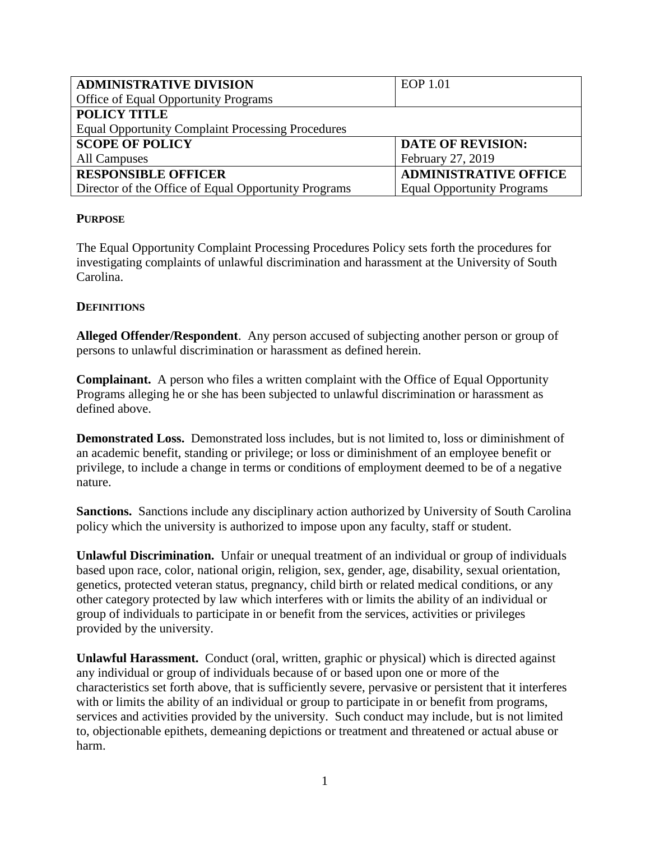| <b>ADMINISTRATIVE DIVISION</b>                           | EOP 1.01                          |
|----------------------------------------------------------|-----------------------------------|
| <b>Office of Equal Opportunity Programs</b>              |                                   |
| <b>POLICY TITLE</b>                                      |                                   |
| <b>Equal Opportunity Complaint Processing Procedures</b> |                                   |
| <b>SCOPE OF POLICY</b>                                   | <b>DATE OF REVISION:</b>          |
| All Campuses                                             | February 27, 2019                 |
| <b>RESPONSIBLE OFFICER</b>                               | <b>ADMINISTRATIVE OFFICE</b>      |
| Director of the Office of Equal Opportunity Programs     | <b>Equal Opportunity Programs</b> |

### **PURPOSE**

The Equal Opportunity Complaint Processing Procedures Policy sets forth the procedures for investigating complaints of unlawful discrimination and harassment at the University of South Carolina.

### **DEFINITIONS**

**Alleged Offender/Respondent**. Any person accused of subjecting another person or group of persons to unlawful discrimination or harassment as defined herein.

**Complainant.** A person who files a written complaint with the Office of Equal Opportunity Programs alleging he or she has been subjected to unlawful discrimination or harassment as defined above.

**Demonstrated Loss.** Demonstrated loss includes, but is not limited to, loss or diminishment of an academic benefit, standing or privilege; or loss or diminishment of an employee benefit or privilege, to include a change in terms or conditions of employment deemed to be of a negative nature.

**Sanctions.** Sanctions include any disciplinary action authorized by University of South Carolina policy which the university is authorized to impose upon any faculty, staff or student.

**Unlawful Discrimination.** Unfair or unequal treatment of an individual or group of individuals based upon race, color, national origin, religion, sex, gender, age, disability, sexual orientation, genetics, protected veteran status, pregnancy, child birth or related medical conditions, or any other category protected by law which interferes with or limits the ability of an individual or group of individuals to participate in or benefit from the services, activities or privileges provided by the university.

**Unlawful Harassment.** Conduct (oral, written, graphic or physical) which is directed against any individual or group of individuals because of or based upon one or more of the characteristics set forth above, that is sufficiently severe, pervasive or persistent that it interferes with or limits the ability of an individual or group to participate in or benefit from programs, services and activities provided by the university. Such conduct may include, but is not limited to, objectionable epithets, demeaning depictions or treatment and threatened or actual abuse or harm.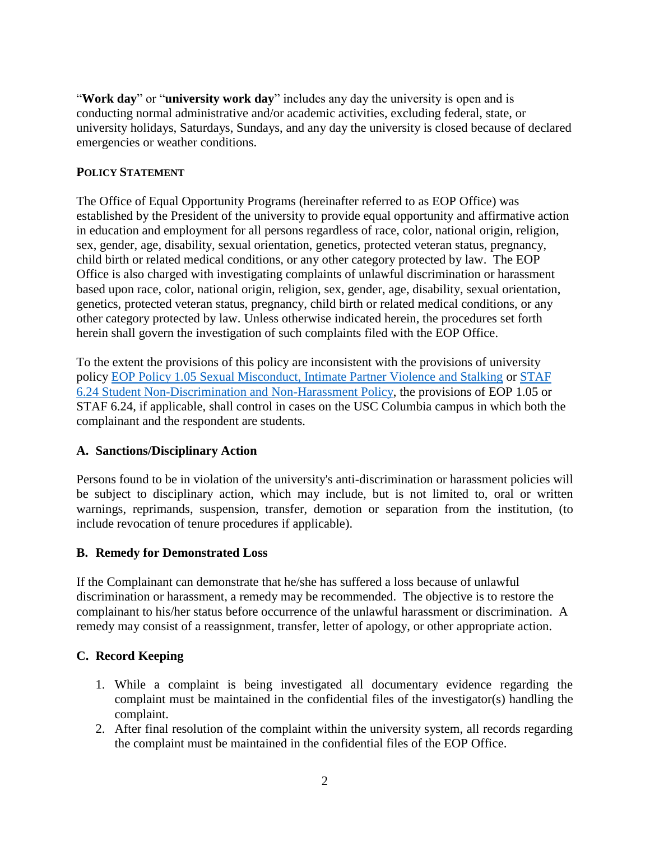"**Work day**" or "**university work day**" includes any day the university is open and is conducting normal administrative and/or academic activities, excluding federal, state, or university holidays, Saturdays, Sundays, and any day the university is closed because of declared emergencies or weather conditions.

# **POLICY STATEMENT**

The Office of Equal Opportunity Programs (hereinafter referred to as EOP Office) was established by the President of the university to provide equal opportunity and affirmative action in education and employment for all persons regardless of race, color, national origin, religion, sex, gender, age, disability, sexual orientation, genetics, protected veteran status, pregnancy, child birth or related medical conditions, or any other category protected by law. The EOP Office is also charged with investigating complaints of unlawful discrimination or harassment based upon race, color, national origin, religion, sex, gender, age, disability, sexual orientation, genetics, protected veteran status, pregnancy, child birth or related medical conditions, or any other category protected by law. Unless otherwise indicated herein, the procedures set forth herein shall govern the investigation of such complaints filed with the EOP Office.

To the extent the provisions of this policy are inconsistent with the provisions of university policy [EOP Policy 1.05 Sexual Misconduct, Intimate Partner Violence and Stalking](http://www.sc.edu/policies/ppm/eop105.pdf) or [STAF](http://www.sc.edu/policies/ppm/staf624.pdf)  [6.24 Student Non-Discrimination and Non-Harassment Policy,](http://www.sc.edu/policies/ppm/staf624.pdf) the provisions of EOP 1.05 or STAF 6.24, if applicable, shall control in cases on the USC Columbia campus in which both the complainant and the respondent are students.

# **A. Sanctions/Disciplinary Action**

Persons found to be in violation of the university's anti-discrimination or harassment policies will be subject to disciplinary action, which may include, but is not limited to, oral or written warnings, reprimands, suspension, transfer, demotion or separation from the institution, (to include revocation of tenure procedures if applicable).

### **B. Remedy for Demonstrated Loss**

If the Complainant can demonstrate that he/she has suffered a loss because of unlawful discrimination or harassment, a remedy may be recommended. The objective is to restore the complainant to his/her status before occurrence of the unlawful harassment or discrimination. A remedy may consist of a reassignment, transfer, letter of apology, or other appropriate action.

### **C. Record Keeping**

- 1. While a complaint is being investigated all documentary evidence regarding the complaint must be maintained in the confidential files of the investigator(s) handling the complaint.
- 2. After final resolution of the complaint within the university system, all records regarding the complaint must be maintained in the confidential files of the EOP Office.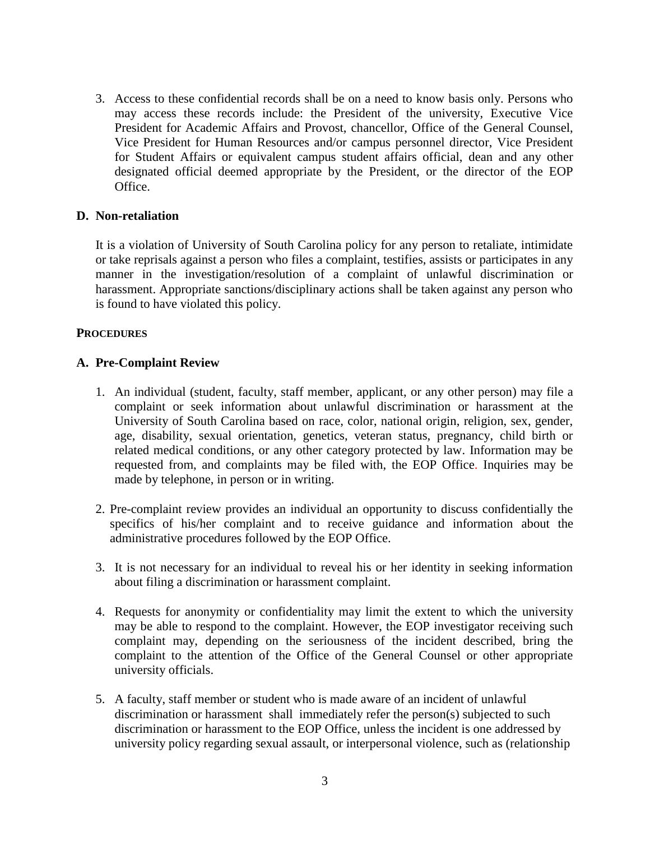3. Access to these confidential records shall be on a need to know basis only. Persons who may access these records include: the President of the university, Executive Vice President for Academic Affairs and Provost, chancellor, Office of the General Counsel, Vice President for Human Resources and/or campus personnel director, Vice President for Student Affairs or equivalent campus student affairs official, dean and any other designated official deemed appropriate by the President, or the director of the EOP Office.

#### **D. Non-retaliation**

It is a violation of University of South Carolina policy for any person to retaliate, intimidate or take reprisals against a person who files a complaint, testifies, assists or participates in any manner in the investigation/resolution of a complaint of unlawful discrimination or harassment. Appropriate sanctions/disciplinary actions shall be taken against any person who is found to have violated this policy.

#### **PROCEDURES**

### **A. Pre-Complaint Review**

- 1. An individual (student, faculty, staff member, applicant, or any other person) may file a complaint or seek information about unlawful discrimination or harassment at the University of South Carolina based on race, color, national origin, religion, sex, gender, age, disability, sexual orientation, genetics, veteran status, pregnancy, child birth or related medical conditions, or any other category protected by law. Information may be requested from, and complaints may be filed with, the EOP Office. Inquiries may be made by telephone, in person or in writing.
- 2. Pre-complaint review provides an individual an opportunity to discuss confidentially the specifics of his/her complaint and to receive guidance and information about the administrative procedures followed by the EOP Office.
- 3. It is not necessary for an individual to reveal his or her identity in seeking information about filing a discrimination or harassment complaint.
- 4. Requests for anonymity or confidentiality may limit the extent to which the university may be able to respond to the complaint. However, the EOP investigator receiving such complaint may, depending on the seriousness of the incident described, bring the complaint to the attention of the Office of the General Counsel or other appropriate university officials.
- 5. A faculty, staff member or student who is made aware of an incident of unlawful discrimination or harassment shall immediately refer the person(s) subjected to such discrimination or harassment to the EOP Office, unless the incident is one addressed by university policy regarding sexual assault, or interpersonal violence, such as (relationship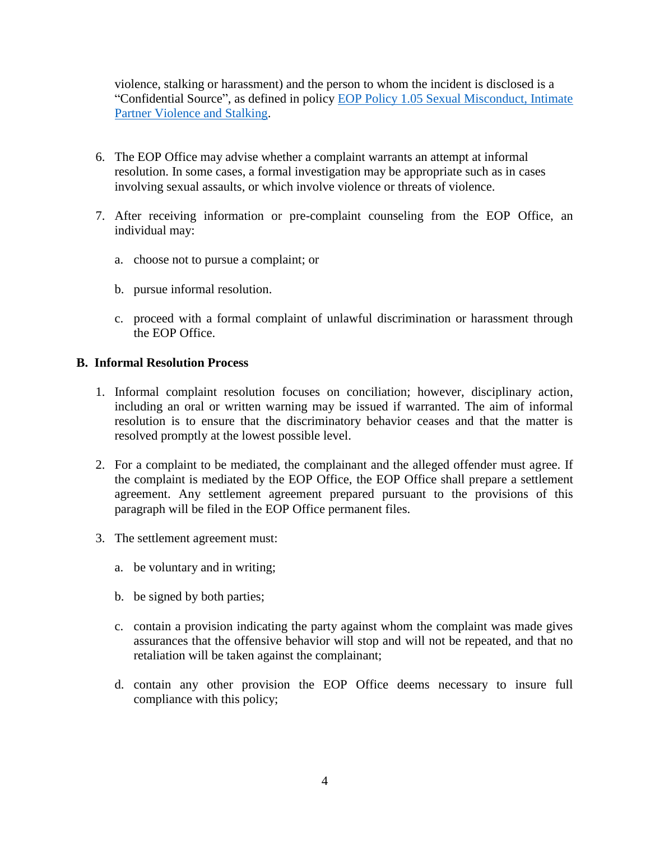violence, stalking or harassment) and the person to whom the incident is disclosed is a "Confidential Source", as defined in policy [EOP Policy 1.05 Sexual Misconduct, Intimate](http://www.sc.edu/policies/ppm/eop105.pdf)  [Partner Violence and Stalking.](http://www.sc.edu/policies/ppm/eop105.pdf)

- 6. The EOP Office may advise whether a complaint warrants an attempt at informal resolution. In some cases, a formal investigation may be appropriate such as in cases involving sexual assaults, or which involve violence or threats of violence.
- 7. After receiving information or pre-complaint counseling from the EOP Office, an individual may:
	- a. choose not to pursue a complaint; or
	- b. pursue informal resolution.
	- c. proceed with a formal complaint of unlawful discrimination or harassment through the EOP Office.

### **B. Informal Resolution Process**

- 1. Informal complaint resolution focuses on conciliation; however, disciplinary action, including an oral or written warning may be issued if warranted. The aim of informal resolution is to ensure that the discriminatory behavior ceases and that the matter is resolved promptly at the lowest possible level.
- 2. For a complaint to be mediated, the complainant and the alleged offender must agree. If the complaint is mediated by the EOP Office, the EOP Office shall prepare a settlement agreement. Any settlement agreement prepared pursuant to the provisions of this paragraph will be filed in the EOP Office permanent files.
- 3. The settlement agreement must:
	- a. be voluntary and in writing;
	- b. be signed by both parties;
	- c. contain a provision indicating the party against whom the complaint was made gives assurances that the offensive behavior will stop and will not be repeated, and that no retaliation will be taken against the complainant;
	- d. contain any other provision the EOP Office deems necessary to insure full compliance with this policy;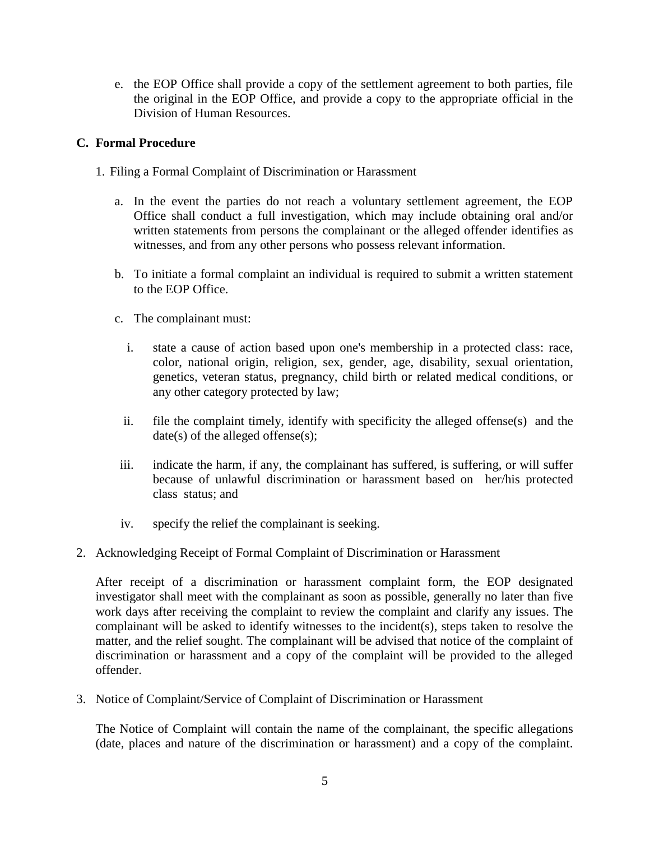e. the EOP Office shall provide a copy of the settlement agreement to both parties, file the original in the EOP Office, and provide a copy to the appropriate official in the Division of Human Resources.

## **C. Formal Procedure**

- 1. Filing a Formal Complaint of Discrimination or Harassment
	- a. In the event the parties do not reach a voluntary settlement agreement, the EOP Office shall conduct a full investigation, which may include obtaining oral and/or written statements from persons the complainant or the alleged offender identifies as witnesses, and from any other persons who possess relevant information.
	- b. To initiate a formal complaint an individual is required to submit a written statement to the EOP Office.
	- c. The complainant must:
		- i. state a cause of action based upon one's membership in a protected class: race, color, national origin, religion, sex, gender, age, disability, sexual orientation, genetics, veteran status, pregnancy, child birth or related medical conditions, or any other category protected by law;
		- ii. file the complaint timely, identify with specificity the alleged offense(s) and the date(s) of the alleged offense(s);
	- iii. indicate the harm, if any, the complainant has suffered, is suffering, or will suffer because of unlawful discrimination or harassment based on her/his protected class status; and
	- iv. specify the relief the complainant is seeking.
- 2. Acknowledging Receipt of Formal Complaint of Discrimination or Harassment

After receipt of a discrimination or harassment complaint form, the EOP designated investigator shall meet with the complainant as soon as possible, generally no later than five work days after receiving the complaint to review the complaint and clarify any issues. The complainant will be asked to identify witnesses to the incident(s), steps taken to resolve the matter, and the relief sought. The complainant will be advised that notice of the complaint of discrimination or harassment and a copy of the complaint will be provided to the alleged offender.

3. Notice of Complaint/Service of Complaint of Discrimination or Harassment

The Notice of Complaint will contain the name of the complainant, the specific allegations (date, places and nature of the discrimination or harassment) and a copy of the complaint.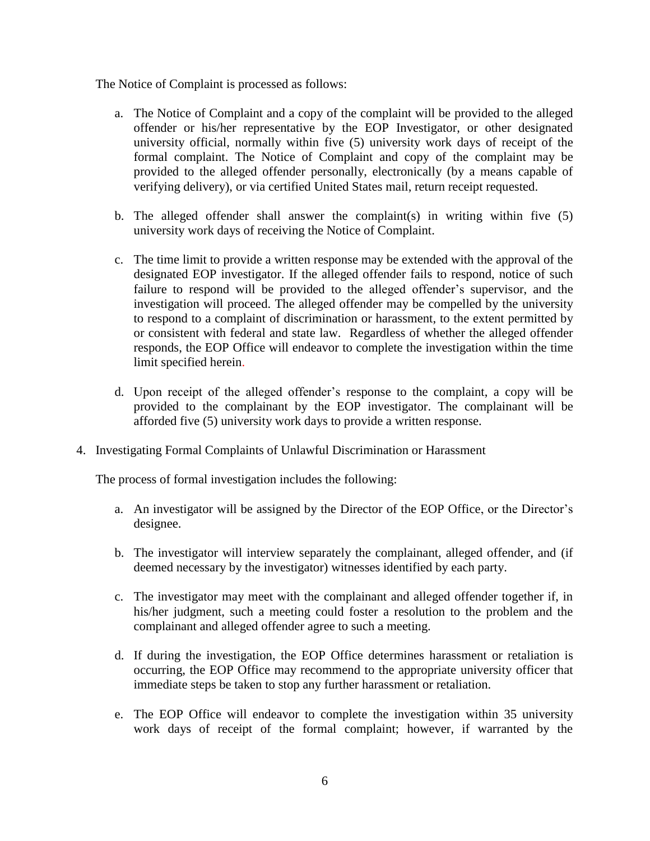The Notice of Complaint is processed as follows:

- a. The Notice of Complaint and a copy of the complaint will be provided to the alleged offender or his/her representative by the EOP Investigator, or other designated university official, normally within five (5) university work days of receipt of the formal complaint. The Notice of Complaint and copy of the complaint may be provided to the alleged offender personally, electronically (by a means capable of verifying delivery), or via certified United States mail, return receipt requested.
- b. The alleged offender shall answer the complaint(s) in writing within five (5) university work days of receiving the Notice of Complaint.
- c. The time limit to provide a written response may be extended with the approval of the designated EOP investigator. If the alleged offender fails to respond, notice of such failure to respond will be provided to the alleged offender's supervisor, and the investigation will proceed. The alleged offender may be compelled by the university to respond to a complaint of discrimination or harassment, to the extent permitted by or consistent with federal and state law. Regardless of whether the alleged offender responds, the EOP Office will endeavor to complete the investigation within the time limit specified herein.
- d. Upon receipt of the alleged offender's response to the complaint, a copy will be provided to the complainant by the EOP investigator. The complainant will be afforded five (5) university work days to provide a written response.
- 4. Investigating Formal Complaints of Unlawful Discrimination or Harassment

The process of formal investigation includes the following:

- a. An investigator will be assigned by the Director of the EOP Office, or the Director's designee.
- b. The investigator will interview separately the complainant, alleged offender, and (if deemed necessary by the investigator) witnesses identified by each party.
- c. The investigator may meet with the complainant and alleged offender together if, in his/her judgment, such a meeting could foster a resolution to the problem and the complainant and alleged offender agree to such a meeting.
- d. If during the investigation, the EOP Office determines harassment or retaliation is occurring, the EOP Office may recommend to the appropriate university officer that immediate steps be taken to stop any further harassment or retaliation.
- e. The EOP Office will endeavor to complete the investigation within 35 university work days of receipt of the formal complaint; however, if warranted by the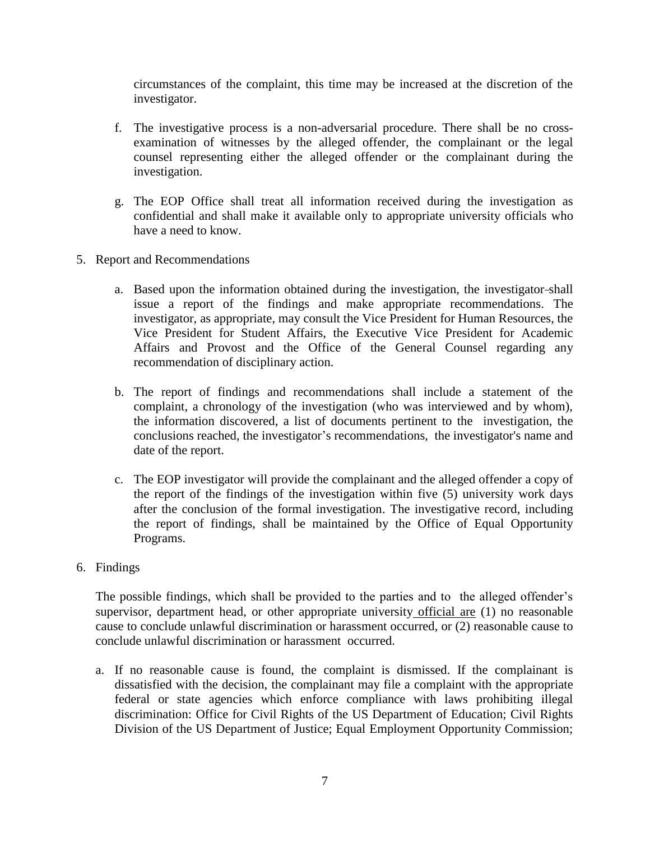circumstances of the complaint, this time may be increased at the discretion of the investigator.

- f. The investigative process is a non-adversarial procedure. There shall be no crossexamination of witnesses by the alleged offender, the complainant or the legal counsel representing either the alleged offender or the complainant during the investigation.
- g. The EOP Office shall treat all information received during the investigation as confidential and shall make it available only to appropriate university officials who have a need to know.
- 5. Report and Recommendations
	- a. Based upon the information obtained during the investigation, the investigator shall issue a report of the findings and make appropriate recommendations. The investigator, as appropriate, may consult the Vice President for Human Resources, the Vice President for Student Affairs, the Executive Vice President for Academic Affairs and Provost and the Office of the General Counsel regarding any recommendation of disciplinary action.
	- b. The report of findings and recommendations shall include a statement of the complaint, a chronology of the investigation (who was interviewed and by whom), the information discovered, a list of documents pertinent to the investigation, the conclusions reached, the investigator's recommendations, the investigator's name and date of the report.
	- c. The EOP investigator will provide the complainant and the alleged offender a copy of the report of the findings of the investigation within five (5) university work days after the conclusion of the formal investigation. The investigative record, including the report of findings, shall be maintained by the Office of Equal Opportunity Programs.
- 6. Findings

The possible findings, which shall be provided to the parties and to the alleged offender's supervisor, department head, or other appropriate university official are (1) no reasonable cause to conclude unlawful discrimination or harassment occurred, or (2) reasonable cause to conclude unlawful discrimination or harassment occurred.

a. If no reasonable cause is found, the complaint is dismissed. If the complainant is dissatisfied with the decision, the complainant may file a complaint with the appropriate federal or state agencies which enforce compliance with laws prohibiting illegal discrimination: Office for Civil Rights of the US Department of Education; Civil Rights Division of the US Department of Justice; Equal Employment Opportunity Commission;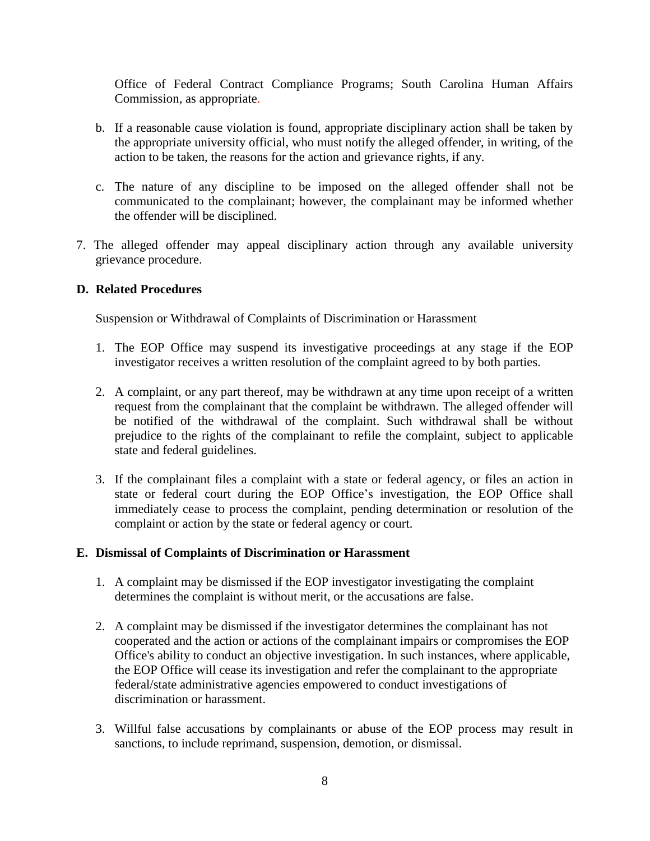Office of Federal Contract Compliance Programs; South Carolina Human Affairs Commission, as appropriate.

- b. If a reasonable cause violation is found, appropriate disciplinary action shall be taken by the appropriate university official, who must notify the alleged offender, in writing, of the action to be taken, the reasons for the action and grievance rights, if any.
- c. The nature of any discipline to be imposed on the alleged offender shall not be communicated to the complainant; however, the complainant may be informed whether the offender will be disciplined.
- 7. The alleged offender may appeal disciplinary action through any available university grievance procedure.

### **D. Related Procedures**

Suspension or Withdrawal of Complaints of Discrimination or Harassment

- 1. The EOP Office may suspend its investigative proceedings at any stage if the EOP investigator receives a written resolution of the complaint agreed to by both parties.
- 2. A complaint, or any part thereof, may be withdrawn at any time upon receipt of a written request from the complainant that the complaint be withdrawn. The alleged offender will be notified of the withdrawal of the complaint. Such withdrawal shall be without prejudice to the rights of the complainant to refile the complaint, subject to applicable state and federal guidelines.
- 3. If the complainant files a complaint with a state or federal agency, or files an action in state or federal court during the EOP Office's investigation, the EOP Office shall immediately cease to process the complaint, pending determination or resolution of the complaint or action by the state or federal agency or court.

### **E. Dismissal of Complaints of Discrimination or Harassment**

- 1. A complaint may be dismissed if the EOP investigator investigating the complaint determines the complaint is without merit, or the accusations are false.
- 2. A complaint may be dismissed if the investigator determines the complainant has not cooperated and the action or actions of the complainant impairs or compromises the EOP Office's ability to conduct an objective investigation. In such instances, where applicable, the EOP Office will cease its investigation and refer the complainant to the appropriate federal/state administrative agencies empowered to conduct investigations of discrimination or harassment.
- 3. Willful false accusations by complainants or abuse of the EOP process may result in sanctions, to include reprimand, suspension, demotion, or dismissal.